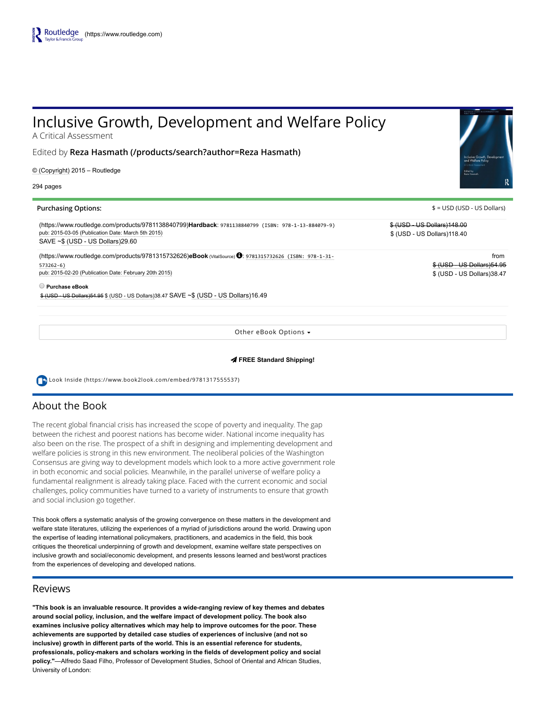# Inclusive Growth, Development and Welfare Policy

A Critical Assessment

Edited by [Reza Hasmath \(/products/search?author=Reza Hasmath\)](https://www.routledge.com/products/search?author=Reza%20Hasmath)

© (Copyright) 2015 – Routledge

294 pages

#### Purchasing Options:  $\frac{1}{2}$  = USD (USD - US Dollars)

[\(https://www.routledge.com/products/9781138840799\)H](https://www.routledge.com/products/9781138840799)ardback: 9781138840799 (ISBN: 978‐1‐13‐884079‐9) pub: 2015-03-05 (Publication Date: March 5th 2015)  $SAVE \sim $$  (USD - US Dollars)29.60

[\(https://www.routledge.com/products/9781315732626\)](https://www.routledge.com/products/9781315732626)eBook (VitalSource) : 9781315732626 (ISBN: 978‐1‐31‐ 573262‐6) pub: 2015-02-20 (Publication Date: February 20th 2015)

Purchase eBook

 $%$  (USD - US Dollars)54.95  $%$  (USD - US Dollars)38.47 SAVE ~ $$$  (USD - US Dollars)16.49

Other eBook Options

#### FREE Standard Shipping!

 [Look Inside \(https://www.book2look.com/embed/9781317555537\)](https://www.book2look.com/embed/9781317555537)

# About the Book

The recent global financial crisis has increased the scope of poverty and inequality. The gap between the richest and poorest nations has become wider. National income inequality has also been on the rise. The prospect of a shift in designing and implementing development and welfare policies is strong in this new environment. The neoliberal policies of the Washington Consensus are giving way to development models which look to a more active government role in both economic and social policies. Meanwhile, in the parallel universe of welfare policy a fundamental realignment is already taking place. Faced with the current economic and social challenges, policy communities have turned to a variety of instruments to ensure that growth and social inclusion go together.

This book offers a systematic analysis of the growing convergence on these matters in the development and welfare state literatures, utilizing the experiences of a myriad of jurisdictions around the world. Drawing upon the expertise of leading international policymakers, practitioners, and academics in the field, this book critiques the theoretical underpinning of growth and development, examine welfare state perspectives on inclusive growth and social/economic development, and presents lessons learned and best/worst practices from the experiences of developing and developed nations.

## Reviews

"This book is an invaluable resource. It provides a wideranging review of key themes and debates around social policy, inclusion, and the welfare impact of development policy. The book also examines inclusive policy alternatives which may help to improve outcomes for the poor. These achievements are supported by detailed case studies of experiences of inclusive (and not so inclusive) growth in different parts of the world. This is an essential reference for students, professionals, policymakers and scholars working in the fields of development policy and social policy."—Alfredo Saad Filho, Professor of Development Studies, School of Oriental and African Studies, University of London:

\$ (USD US Dollars)148.00

\$ (USD - US Dollars)118.40

from \$ (USD - US Dollars) 54.95 **\$ (USD - US Dollars)38.47**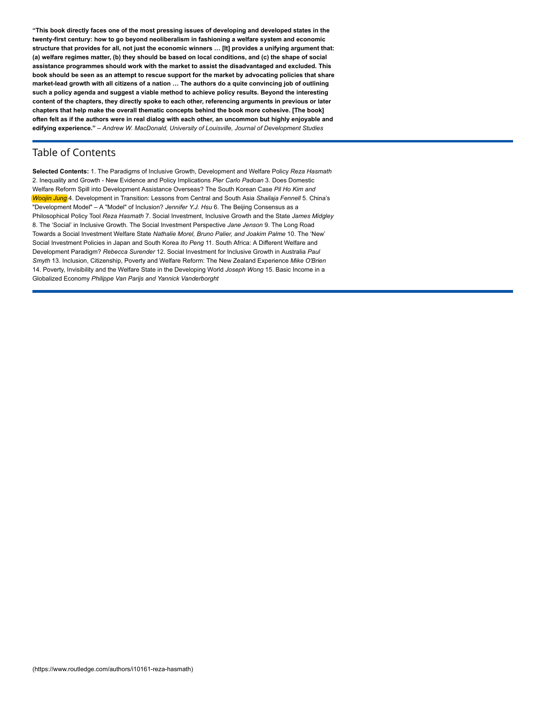"This book directly faces one of the most pressing issues of developing and developed states in the twenty-first century: how to go beyond neoliberalism in fashioning a welfare system and economic structure that provides for all, not just the economic winners … [It] provides a unifying argument that: (a) welfare regimes matter, (b) they should be based on local conditions, and (c) the shape of social assistance programmes should work with the market to assist the disadvantaged and excluded. This book should be seen as an attempt to rescue support for the market by advocating policies that share market-lead growth with all citizens of a nation ... The authors do a quite convincing job of outlining such a policy agenda and suggest a viable method to achieve policy results. Beyond the interesting content of the chapters, they directly spoke to each other, referencing arguments in previous or later chapters that help make the overall thematic concepts behind the book more cohesive. [The book] often felt as if the authors were in real dialog with each other, an uncommon but highly enjoyable and edifying experience." - Andrew W. MacDonald, University of Louisville, Journal of Development Studies

# Table of Contents

Selected Contents: 1. The Paradigms of Inclusive Growth, Development and Welfare Policy Reza Hasmath 2. Inequality and Growth - New Evidence and Policy Implications Pier Carlo Padoan 3. Does Domestic Welfare Reform Spill into Development Assistance Overseas? The South Korean Case Pil Ho Kim and Woojin Jung 4. Development in Transition: Lessons from Central and South Asia Shailaja Fennell 5. China's "Development Model" – A "Model" of Inclusion? Jennifer Y.J. Hsu 6. The Beijing Consensus as a Philosophical Policy Tool Reza Hasmath 7. Social Investment, Inclusive Growth and the State James Midgley 8. The 'Social' in Inclusive Growth. The Social Investment Perspective Jane Jenson 9. The Long Road Towards a Social Investment Welfare State Nathalie Morel, Bruno Palier, and Joakim Palme 10. The 'New' Social Investment Policies in Japan and South Korea Ito Peng 11. South Africa: A Different Welfare and Development Paradigm? Rebecca Surender 12. Social Investment for Inclusive Growth in Australia Paul Smyth 13. Inclusion, Citizenship, Poverty and Welfare Reform: The New Zealand Experience Mike O'Brien 14. Poverty, Invisibility and the Welfare State in the Developing World Joseph Wong 15. Basic Income in a Globalized Economy Philippe Van Parijs and Yannick Vanderborght